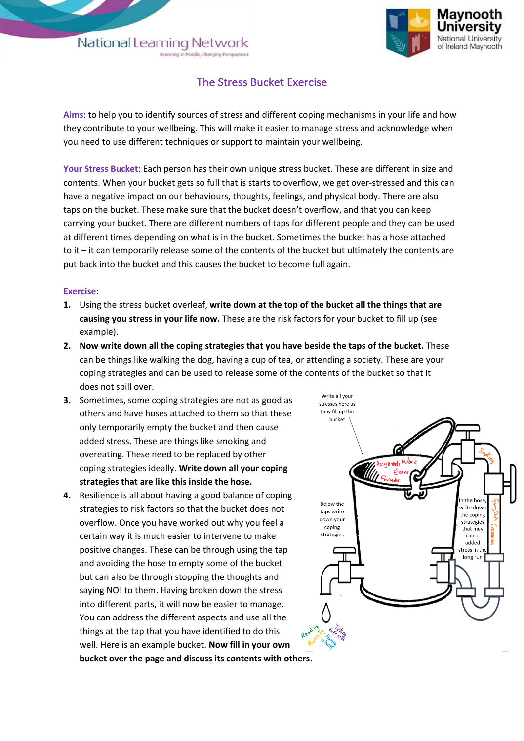



## The Stress Bucket Exercise

**Aims**: to help you to identify sources of stress and different coping mechanisms in your life and how they contribute to your wellbeing. This will make it easier to manage stress and acknowledge when you need to use different techniques or support to maintain your wellbeing.

**Your Stress Bucket**: Each person has their own unique stress bucket. These are different in size and contents. When your bucket gets so full that is starts to overflow, we get over-stressed and this can have a negative impact on our behaviours, thoughts, feelings, and physical body. There are also taps on the bucket. These make sure that the bucket doesn't overflow, and that you can keep carrying your bucket. There are different numbers of taps for different people and they can be used at different times depending on what is in the bucket. Sometimes the bucket has a hose attached to it – it can temporarily release some of the contents of the bucket but ultimately the contents are put back into the bucket and this causes the bucket to become full again.

## **Exercise**:

- **1.** Using the stress bucket overleaf, **write down at the top of the bucket all the things that are causing you stress in your life now.** These are the risk factors for your bucket to fill up (see example).
- **2. Now write down all the coping strategies that you have beside the taps of the bucket.** These can be things like walking the dog, having a cup of tea, or attending a society. These are your coping strategies and can be used to release some of the contents of the bucket so that it does not spill over.
- **3.** Sometimes, some coping strategies are not as good as others and have hoses attached to them so that these only temporarily empty the bucket and then cause added stress. These are things like smoking and overeating. These need to be replaced by other coping strategies ideally. **Write down all your coping strategies that are like this inside the hose.**
- **4.** Resilience is all about having a good balance of coping strategies to risk factors so that the bucket does not overflow. Once you have worked out why you feel a certain way it is much easier to intervene to make positive changes. These can be through using the tap and avoiding the hose to empty some of the bucket but can also be through stopping the thoughts and saying NO! to them. Having broken down the stress into different parts, it will now be easier to manage. You can address the different aspects and use all the things at the tap that you have identified to do this well. Here is an example bucket. **Now fill in your own bucket over the page and discuss its contents with others.**